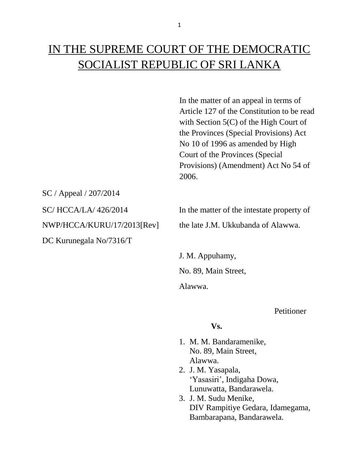In the matter of an appeal in terms of Article 127 of the Constitution to be read with Section 5(C) of the High Court of the Provinces (Special Provisions) Act No 10 of 1996 as amended by High Court of the Provinces (Special Provisions) (Amendment) Act No 54 of 2006.

SC / Appeal / 207/2014

DC Kurunegala No/7316/T

SC/ HCCA/LA/ 426/2014 In the matter of the intestate property of NWP/HCCA/KURU/17/2013[Rev] the late J.M. Ukkubanda of Alawwa.

> J. M. Appuhamy, No. 89, Main Street, Alawwa.

> > Petitioner

### **Vs.**

- 1. M. M. Bandaramenike, No. 89, Main Street, Alawwa.
- 2. J. M. Yasapala, 'Yasasiri', Indigaha Dowa, Lunuwatta, Bandarawela.
- 3. J. M. Sudu Menike, DIV Rampitiye Gedara, Idamegama, Bambarapana, Bandarawela.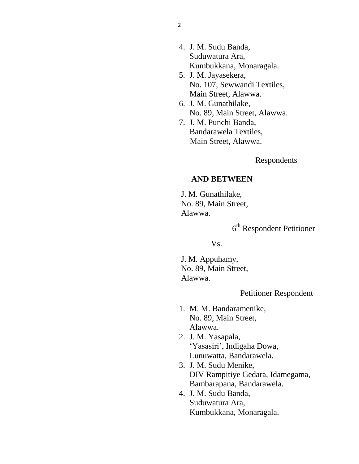- 4. J. M. Sudu Banda, Suduwatura Ara, Kumbukkana, Monaragala.
- 5. J. M. Jayasekera, No. 107, Sewwandi Textiles, Main Street, Alawwa.
- 6. J. M. Gunathilake, No. 89, Main Street, Alawwa.
- 7. J. M. Punchi Banda, Bandarawela Textiles, Main Street, Alawwa.

Respondents

# **AND BETWEEN**

 J. M. Gunathilake, No. 89, Main Street, Alawwa.

6 th Respondent Petitioner

Vs.

 J. M. Appuhamy, No. 89, Main Street, Alawwa.

# Petitioner Respondent

- 1. M. M. Bandaramenike, No. 89, Main Street, Alawwa.
- 2. J. M. Yasapala, 'Yasasiri', Indigaha Dowa, Lunuwatta, Bandarawela.
- 3. J. M. Sudu Menike, DIV Rampitiye Gedara, Idamegama, Bambarapana, Bandarawela.
- 4. J. M. Sudu Banda, Suduwatura Ara, Kumbukkana, Monaragala.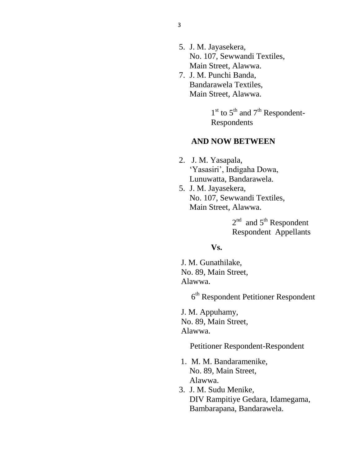- 5. J. M. Jayasekera, No. 107, Sewwandi Textiles, Main Street, Alawwa.
- 7. J. M. Punchi Banda, Bandarawela Textiles, Main Street, Alawwa.

 $1<sup>st</sup>$  to  $5<sup>th</sup>$  and  $7<sup>th</sup>$  Respondent-Respondents

#### **AND NOW BETWEEN**

- 2. J. M. Yasapala, 'Yasasiri', Indigaha Dowa, Lunuwatta, Bandarawela.
- 5. J. M. Jayasekera, No. 107, Sewwandi Textiles, Main Street, Alawwa.

 $2<sup>nd</sup>$  and  $5<sup>th</sup>$  Respondent Respondent Appellants

## **Vs.**

J. M. Gunathilake, No. 89, Main Street, Alawwa.

6 th Respondent Petitioner Respondent

 J. M. Appuhamy, No. 89, Main Street, Alawwa.

Petitioner Respondent-Respondent

- 1. M. M. Bandaramenike, No. 89, Main Street, Alawwa.
- 3. J. M. Sudu Menike, DIV Rampitiye Gedara, Idamegama, Bambarapana, Bandarawela.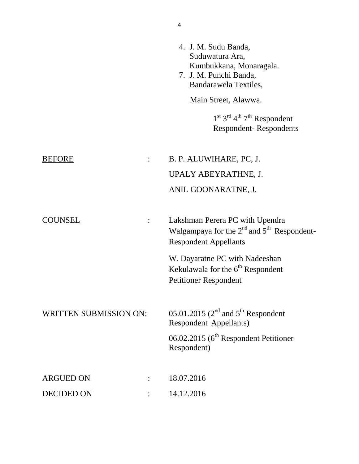|                                | 4. J. M. Sudu Banda,<br>Suduwatura Ara,<br>Kumbukkana, Monaragala.<br>7. J. M. Punchi Banda,<br>Bandarawela Textiles,<br>Main Street, Alawwa.<br>$1st 3rd 4th 7th$ Respondent<br><b>Respondent-Respondents</b>                   |
|--------------------------------|----------------------------------------------------------------------------------------------------------------------------------------------------------------------------------------------------------------------------------|
| <b>BEFORE</b>                  | B. P. ALUWIHARE, PC, J.<br>UPALY ABEYRATHNE, J.<br>ANIL GOONARATNE, J.                                                                                                                                                           |
| UNSEL                          | Lakshman Perera PC with Upendra<br>Walgampaya for the $2^{nd}$ and $5^{th}$ Respondent-<br><b>Respondent Appellants</b><br>W. Dayaratne PC with Nadeeshan<br>Kekulawala for the $6th$ Respondent<br><b>Petitioner Respondent</b> |
| <b>WRITTEN SUBMISSION ON:</b>  | 05.01.2015 ( $2nd$ and $5th$ Respondent<br><b>Respondent Appellants)</b><br>06.02.2015 (6 <sup>th</sup> Respondent Petitioner<br>Respondent)                                                                                     |
| <b>ARGUED ON</b><br>DECIDED ON | 18.07.2016<br>14.12.2016                                                                                                                                                                                                         |

4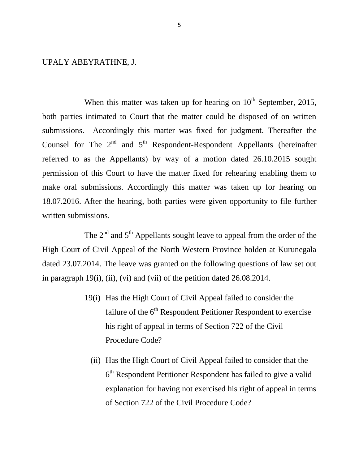#### UPALY ABEYRATHNE, J.

When this matter was taken up for hearing on  $10<sup>th</sup>$  September, 2015, both parties intimated to Court that the matter could be disposed of on written submissions. Accordingly this matter was fixed for judgment. Thereafter the Counsel for The  $2<sup>nd</sup>$  and  $5<sup>th</sup>$  Respondent-Respondent Appellants (hereinafter referred to as the Appellants) by way of a motion dated 26.10.2015 sought permission of this Court to have the matter fixed for rehearing enabling them to make oral submissions. Accordingly this matter was taken up for hearing on 18.07.2016. After the hearing, both parties were given opportunity to file further written submissions.

The  $2<sup>nd</sup>$  and  $5<sup>th</sup>$  Appellants sought leave to appeal from the order of the High Court of Civil Appeal of the North Western Province holden at Kurunegala dated 23.07.2014. The leave was granted on the following questions of law set out in paragraph 19(i), (ii), (vi) and (vii) of the petition dated 26.08.2014.

- 19(i) Has the High Court of Civil Appeal failed to consider the failure of the 6<sup>th</sup> Respondent Petitioner Respondent to exercise his right of appeal in terms of Section 722 of the Civil Procedure Code?
	- (ii) Has the High Court of Civil Appeal failed to consider that the 6<sup>th</sup> Respondent Petitioner Respondent has failed to give a valid explanation for having not exercised his right of appeal in terms of Section 722 of the Civil Procedure Code?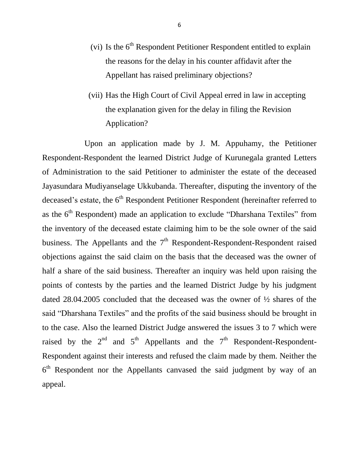- (vi) Is the  $6<sup>th</sup>$  Respondent Petitioner Respondent entitled to explain the reasons for the delay in his counter affidavit after the Appellant has raised preliminary objections?
- (vii) Has the High Court of Civil Appeal erred in law in accepting the explanation given for the delay in filing the Revision Application?

Upon an application made by J. M. Appuhamy, the Petitioner Respondent-Respondent the learned District Judge of Kurunegala granted Letters of Administration to the said Petitioner to administer the estate of the deceased Jayasundara Mudiyanselage Ukkubanda. Thereafter, disputing the inventory of the deceased's estate, the  $6<sup>th</sup>$  Respondent Petitioner Respondent (hereinafter referred to as the  $6<sup>th</sup>$  Respondent) made an application to exclude "Dharshana Textiles" from the inventory of the deceased estate claiming him to be the sole owner of the said business. The Appellants and the  $7<sup>th</sup>$  Respondent-Respondent-Respondent raised objections against the said claim on the basis that the deceased was the owner of half a share of the said business. Thereafter an inquiry was held upon raising the points of contests by the parties and the learned District Judge by his judgment dated 28.04.2005 concluded that the deceased was the owner of ½ shares of the said "Dharshana Textiles" and the profits of the said business should be brought in to the case. Also the learned District Judge answered the issues 3 to 7 which were raised by the  $2<sup>nd</sup>$  and  $5<sup>th</sup>$  Appellants and the  $7<sup>th</sup>$  Respondent-Respondent-Respondent against their interests and refused the claim made by them. Neither the  $6<sup>th</sup>$  Respondent nor the Appellants canvased the said judgment by way of an appeal.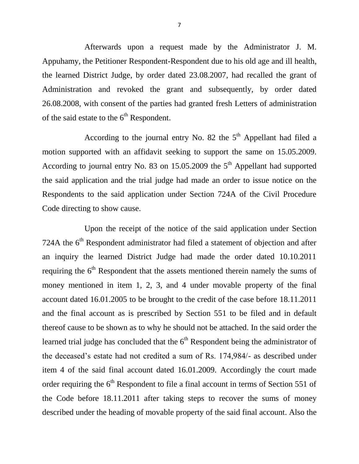Afterwards upon a request made by the Administrator J. M. Appuhamy, the Petitioner Respondent-Respondent due to his old age and ill health, the learned District Judge, by order dated 23.08.2007, had recalled the grant of Administration and revoked the grant and subsequently, by order dated 26.08.2008, with consent of the parties had granted fresh Letters of administration of the said estate to the  $6<sup>th</sup>$  Respondent.

According to the journal entry No. 82 the  $5<sup>th</sup>$  Appellant had filed a motion supported with an affidavit seeking to support the same on 15.05.2009. According to journal entry No. 83 on  $15.05.2009$  the  $5<sup>th</sup>$  Appellant had supported the said application and the trial judge had made an order to issue notice on the Respondents to the said application under Section 724A of the Civil Procedure Code directing to show cause.

Upon the receipt of the notice of the said application under Section 724A the  $6<sup>th</sup>$  Respondent administrator had filed a statement of objection and after an inquiry the learned District Judge had made the order dated 10.10.2011 requiring the  $6<sup>th</sup>$  Respondent that the assets mentioned therein namely the sums of money mentioned in item 1, 2, 3, and 4 under movable property of the final account dated 16.01.2005 to be brought to the credit of the case before 18.11.2011 and the final account as is prescribed by Section 551 to be filed and in default thereof cause to be shown as to why he should not be attached. In the said order the learned trial judge has concluded that the  $6<sup>th</sup>$  Respondent being the administrator of the deceased's estate had not credited a sum of Rs. 174,984/- as described under item 4 of the said final account dated 16.01.2009. Accordingly the court made order requiring the  $6<sup>th</sup>$  Respondent to file a final account in terms of Section 551 of the Code before 18.11.2011 after taking steps to recover the sums of money described under the heading of movable property of the said final account. Also the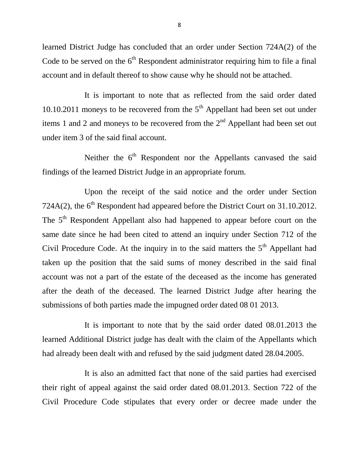learned District Judge has concluded that an order under Section 724A(2) of the Code to be served on the  $6<sup>th</sup>$  Respondent administrator requiring him to file a final account and in default thereof to show cause why he should not be attached.

It is important to note that as reflected from the said order dated 10.10.2011 moneys to be recovered from the  $5<sup>th</sup>$  Appellant had been set out under items 1 and 2 and moneys to be recovered from the  $2<sup>nd</sup>$  Appellant had been set out under item 3 of the said final account.

Neither the 6<sup>th</sup> Respondent nor the Appellants canvased the said findings of the learned District Judge in an appropriate forum.

Upon the receipt of the said notice and the order under Section 724A(2), the  $6<sup>th</sup>$  Respondent had appeared before the District Court on 31.10.2012. The 5<sup>th</sup> Respondent Appellant also had happened to appear before court on the same date since he had been cited to attend an inquiry under Section 712 of the Civil Procedure Code. At the inquiry in to the said matters the  $5<sup>th</sup>$  Appellant had taken up the position that the said sums of money described in the said final account was not a part of the estate of the deceased as the income has generated after the death of the deceased. The learned District Judge after hearing the submissions of both parties made the impugned order dated 08 01 2013.

It is important to note that by the said order dated 08.01.2013 the learned Additional District judge has dealt with the claim of the Appellants which had already been dealt with and refused by the said judgment dated 28.04.2005.

It is also an admitted fact that none of the said parties had exercised their right of appeal against the said order dated 08.01.2013. Section 722 of the Civil Procedure Code stipulates that every order or decree made under the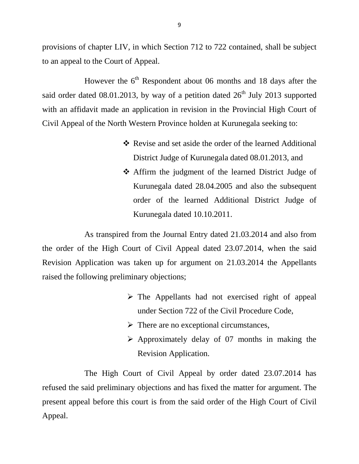provisions of chapter LIV, in which Section 712 to 722 contained, shall be subject to an appeal to the Court of Appeal.

However the  $6<sup>th</sup>$  Respondent about 06 months and 18 days after the said order dated 08.01.2013, by way of a petition dated  $26<sup>th</sup>$  July 2013 supported with an affidavit made an application in revision in the Provincial High Court of Civil Appeal of the North Western Province holden at Kurunegala seeking to:

- Revise and set aside the order of the learned Additional District Judge of Kurunegala dated 08.01.2013, and
- Affirm the judgment of the learned District Judge of Kurunegala dated 28.04.2005 and also the subsequent order of the learned Additional District Judge of Kurunegala dated 10.10.2011.

As transpired from the Journal Entry dated 21.03.2014 and also from the order of the High Court of Civil Appeal dated 23.07.2014, when the said Revision Application was taken up for argument on 21.03.2014 the Appellants raised the following preliminary objections;

- $\triangleright$  The Appellants had not exercised right of appeal under Section 722 of the Civil Procedure Code,
- $\triangleright$  There are no exceptional circumstances,
- $\triangleright$  Approximately delay of 07 months in making the Revision Application.

The High Court of Civil Appeal by order dated 23.07.2014 has refused the said preliminary objections and has fixed the matter for argument. The present appeal before this court is from the said order of the High Court of Civil Appeal.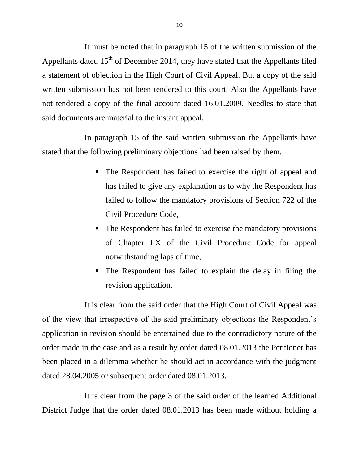It must be noted that in paragraph 15 of the written submission of the Appellants dated  $15<sup>th</sup>$  of December 2014, they have stated that the Appellants filed a statement of objection in the High Court of Civil Appeal. But a copy of the said written submission has not been tendered to this court. Also the Appellants have not tendered a copy of the final account dated 16.01.2009. Needles to state that said documents are material to the instant appeal.

In paragraph 15 of the said written submission the Appellants have stated that the following preliminary objections had been raised by them.

- The Respondent has failed to exercise the right of appeal and has failed to give any explanation as to why the Respondent has failed to follow the mandatory provisions of Section 722 of the Civil Procedure Code,
- The Respondent has failed to exercise the mandatory provisions of Chapter LX of the Civil Procedure Code for appeal notwithstanding laps of time,
- The Respondent has failed to explain the delay in filing the revision application.

It is clear from the said order that the High Court of Civil Appeal was of the view that irrespective of the said preliminary objections the Respondent's application in revision should be entertained due to the contradictory nature of the order made in the case and as a result by order dated 08.01.2013 the Petitioner has been placed in a dilemma whether he should act in accordance with the judgment dated 28.04.2005 or subsequent order dated 08.01.2013.

It is clear from the page 3 of the said order of the learned Additional District Judge that the order dated 08.01.2013 has been made without holding a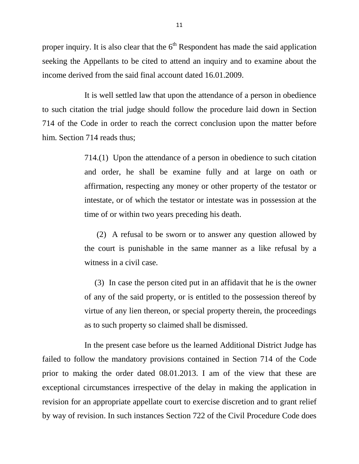proper inquiry. It is also clear that the  $6<sup>th</sup>$  Respondent has made the said application seeking the Appellants to be cited to attend an inquiry and to examine about the income derived from the said final account dated 16.01.2009.

It is well settled law that upon the attendance of a person in obedience to such citation the trial judge should follow the procedure laid down in Section 714 of the Code in order to reach the correct conclusion upon the matter before him. Section 714 reads thus;

> 714.(1) Upon the attendance of a person in obedience to such citation and order, he shall be examine fully and at large on oath or affirmation, respecting any money or other property of the testator or intestate, or of which the testator or intestate was in possession at the time of or within two years preceding his death.

> (2) A refusal to be sworn or to answer any question allowed by the court is punishable in the same manner as a like refusal by a witness in a civil case.

> (3) In case the person cited put in an affidavit that he is the owner of any of the said property, or is entitled to the possession thereof by virtue of any lien thereon, or special property therein, the proceedings as to such property so claimed shall be dismissed.

In the present case before us the learned Additional District Judge has failed to follow the mandatory provisions contained in Section 714 of the Code prior to making the order dated 08.01.2013. I am of the view that these are exceptional circumstances irrespective of the delay in making the application in revision for an appropriate appellate court to exercise discretion and to grant relief by way of revision. In such instances Section 722 of the Civil Procedure Code does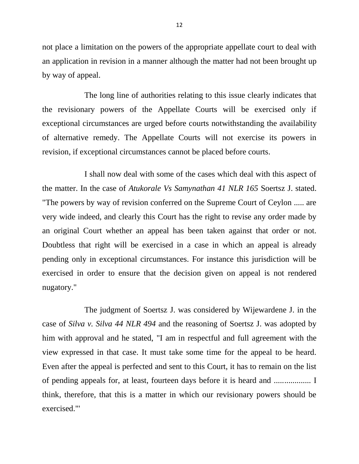not place a limitation on the powers of the appropriate appellate court to deal with an application in revision in a manner although the matter had not been brought up by way of appeal.

The long line of authorities relating to this issue clearly indicates that the revisionary powers of the Appellate Courts will be exercised only if exceptional circumstances are urged before courts notwithstanding the availability of alternative remedy. The Appellate Courts will not exercise its powers in revision, if exceptional circumstances cannot be placed before courts.

I shall now deal with some of the cases which deal with this aspect of the matter. In the case of *Atukorale Vs Samynathan 41 NLR 165* Soertsz J. stated. "The powers by way of revision conferred on the Supreme Court of Ceylon ..... are very wide indeed, and clearly this Court has the right to revise any order made by an original Court whether an appeal has been taken against that order or not. Doubtless that right will be exercised in a case in which an appeal is already pending only in exceptional circumstances. For instance this jurisdiction will be exercised in order to ensure that the decision given on appeal is not rendered nugatory."

The judgment of Soertsz J. was considered by Wijewardene J. in the case of *Silva v. Silva 44 NLR 494* and the reasoning of Soertsz J. was adopted by him with approval and he stated, "I am in respectful and full agreement with the view expressed in that case. It must take some time for the appeal to be heard. Even after the appeal is perfected and sent to this Court, it has to remain on the list of pending appeals for, at least, fourteen days before it is heard and .................. I think, therefore, that this is a matter in which our revisionary powers should be exercised."'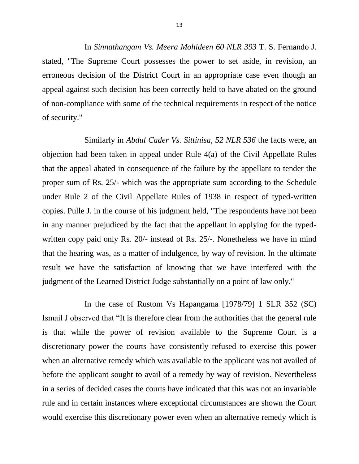In *Sinnathangam Vs. Meera Mohideen 60 NLR 393* T. S. Fernando J. stated, "The Supreme Court possesses the power to set aside, in revision, an erroneous decision of the District Court in an appropriate case even though an appeal against such decision has been correctly held to have abated on the ground of non-compliance with some of the technical requirements in respect of the notice of security."

Similarly in *Abdul Cader Vs. Sittinisa, 52 NLR 536* the facts were, an objection had been taken in appeal under Rule 4(a) of the Civil Appellate Rules that the appeal abated in consequence of the failure by the appellant to tender the proper sum of Rs. 25/- which was the appropriate sum according to the Schedule under Rule 2 of the Civil Appellate Rules of 1938 in respect of typed-written copies. Pulle J. in the course of his judgment held, "The respondents have not been in any manner prejudiced by the fact that the appellant in applying for the typedwritten copy paid only Rs. 20/- instead of Rs. 25/-. Nonetheless we have in mind that the hearing was, as a matter of indulgence, by way of revision. In the ultimate result we have the satisfaction of knowing that we have interfered with the judgment of the Learned District Judge substantially on a point of law only."

In the case of Rustom Vs Hapangama [1978/79] 1 SLR 352 (SC) Ismail J observed that "It is therefore clear from the authorities that the general rule is that while the power of revision available to the Supreme Court is a discretionary power the courts have consistently refused to exercise this power when an alternative remedy which was available to the applicant was not availed of before the applicant sought to avail of a remedy by way of revision. Nevertheless in a series of decided cases the courts have indicated that this was not an invariable rule and in certain instances where exceptional circumstances are shown the Court would exercise this discretionary power even when an alternative remedy which is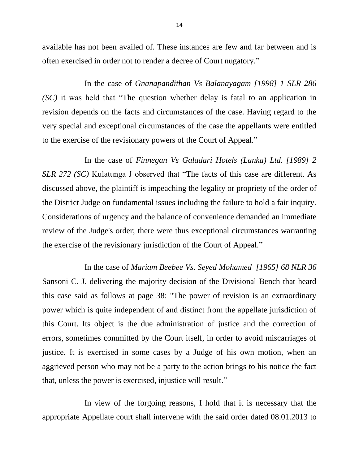available has not been availed of. These instances are few and far between and is often exercised in order not to render a decree of Court nugatory."

In the case of *Gnanapandithan Vs Balanayagam [1998] 1 SLR 286 (SC)* it was held that "The question whether delay is fatal to an application in revision depends on the facts and circumstances of the case. Having regard to the very special and exceptional circumstances of the case the appellants were entitled to the exercise of the revisionary powers of the Court of Appeal."

In the case of *Finnegan Vs Galadari Hotels (Lanka) Ltd. [1989] 2 SLR 272 (SC)* Kulatunga J observed that "The facts of this case are different. As discussed above, the plaintiff is impeaching the legality or propriety of the order of the District Judge on fundamental issues including the failure to hold a fair inquiry. Considerations of urgency and the balance of convenience demanded an immediate review of the Judge's order; there were thus exceptional circumstances warranting the exercise of the revisionary jurisdiction of the Court of Appeal."

In the case of *Mariam Beebee Vs. Seyed Mohamed [1965] 68 NLR 36* Sansoni C. J. delivering the majority decision of the Divisional Bench that heard this case said as follows at page 38: "The power of revision is an extraordinary power which is quite independent of and distinct from the appellate jurisdiction of this Court. Its object is the due administration of justice and the correction of errors, sometimes committed by the Court itself, in order to avoid miscarriages of justice. It is exercised in some cases by a Judge of his own motion, when an aggrieved person who may not be a party to the action brings to his notice the fact that, unless the power is exercised, injustice will result."

In view of the forgoing reasons, I hold that it is necessary that the appropriate Appellate court shall intervene with the said order dated 08.01.2013 to